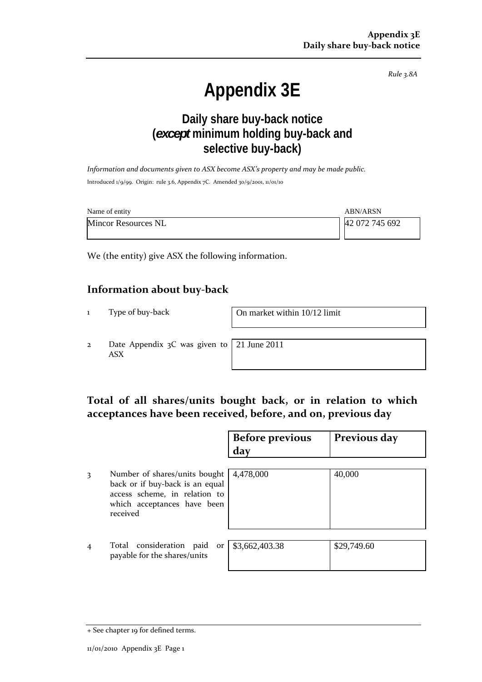*Rule 3.8A*

# **Appendix 3E**

# **Daily share buy-back notice (***except* **minimum holding buy-back and selective buy-back)**

*Information and documents given to ASX become ASX's property and may be made public.* Introduced 1/9/99. Origin: rule 3.6, Appendix 7C. Amended 30/9/2001, 11/01/10

| Name of entity             | ABN/ARSN       |
|----------------------------|----------------|
| <b>Mincor Resources NL</b> | 42 072 745 692 |

We (the entity) give ASX the following information.

#### **Information about buy‐back**

1 Type of buy‐back On market within 10/12 limit

2 Date Appendix 3C was given to ASX

21 June 2011

## **Total of all shares/units bought back, or in relation to which acceptances have been received, before, and on, previous day**

|                |                                                                                                                                              | <b>Before previous</b><br>day | Previous day |
|----------------|----------------------------------------------------------------------------------------------------------------------------------------------|-------------------------------|--------------|
| 3              | Number of shares/units bought<br>back or if buy-back is an equal<br>access scheme, in relation to<br>which acceptances have been<br>received | 4,478,000                     | 40,000       |
| $\overline{4}$ | Total consideration paid or<br>payable for the shares/units                                                                                  | \$3,662,403.38                | \$29,749.60  |

<sup>+</sup> See chapter 19 for defined terms.